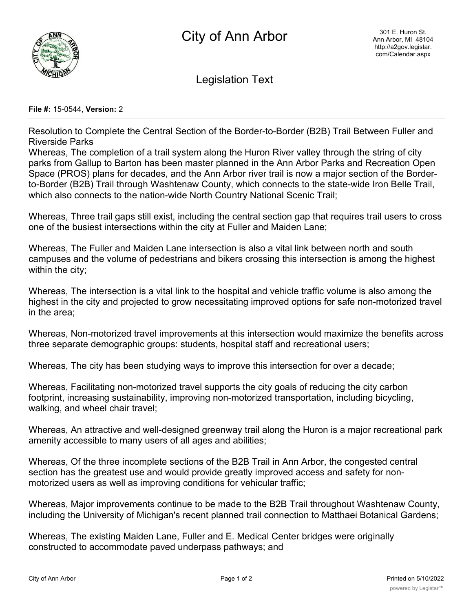

Legislation Text

## **File #:** 15-0544, **Version:** 2

Resolution to Complete the Central Section of the Border-to-Border (B2B) Trail Between Fuller and Riverside Parks

Whereas, The completion of a trail system along the Huron River valley through the string of city parks from Gallup to Barton has been master planned in the Ann Arbor Parks and Recreation Open Space (PROS) plans for decades, and the Ann Arbor river trail is now a major section of the Borderto-Border (B2B) Trail through Washtenaw County, which connects to the state-wide Iron Belle Trail, which also connects to the nation-wide North Country National Scenic Trail;

Whereas, Three trail gaps still exist, including the central section gap that requires trail users to cross one of the busiest intersections within the city at Fuller and Maiden Lane;

Whereas, The Fuller and Maiden Lane intersection is also a vital link between north and south campuses and the volume of pedestrians and bikers crossing this intersection is among the highest within the city;

Whereas, The intersection is a vital link to the hospital and vehicle traffic volume is also among the highest in the city and projected to grow necessitating improved options for safe non-motorized travel in the area;

Whereas, Non-motorized travel improvements at this intersection would maximize the benefits across three separate demographic groups: students, hospital staff and recreational users;

Whereas, The city has been studying ways to improve this intersection for over a decade;

Whereas, Facilitating non-motorized travel supports the city goals of reducing the city carbon footprint, increasing sustainability, improving non-motorized transportation, including bicycling, walking, and wheel chair travel;

Whereas, An attractive and well-designed greenway trail along the Huron is a major recreational park amenity accessible to many users of all ages and abilities;

Whereas, Of the three incomplete sections of the B2B Trail in Ann Arbor, the congested central section has the greatest use and would provide greatly improved access and safety for nonmotorized users as well as improving conditions for vehicular traffic;

Whereas, Major improvements continue to be made to the B2B Trail throughout Washtenaw County, including the University of Michigan's recent planned trail connection to Matthaei Botanical Gardens;

Whereas, The existing Maiden Lane, Fuller and E. Medical Center bridges were originally constructed to accommodate paved underpass pathways; and